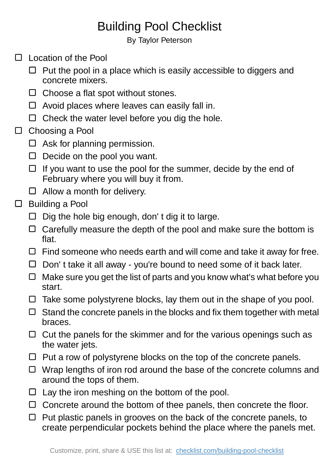## Building Pool Checklist

By Taylor Peterson

- □ Location of the Pool
	- $\Box$  Put the pool in a place which is easily accessible to diggers and concrete mixers.
	- $\Box$  Choose a flat spot without stones.
	- $\Box$  Avoid places where leaves can easily fall in.
	- $\Box$  Check the water level before you dig the hole.

## Choosing a Pool

- $\Box$  Ask for planning permission.
- $\Box$  Decide on the pool you want.
- $\Box$  If you want to use the pool for the summer, decide by the end of February where you will buy it from.
- $\Box$  Allow a month for delivery.

## $\square$  Building a Pool

- $\Box$  Dig the hole big enough, don't dig it to large.
- $\Box$  Carefully measure the depth of the pool and make sure the bottom is flat.
- $\Box$  Find someone who needs earth and will come and take it away for free.
- $\Box$  Don't take it all away you're bound to need some of it back later.
- $\Box$  Make sure you get the list of parts and you know what's what before you start.
- $\Box$  Take some polystyrene blocks, lay them out in the shape of you pool.
- $\Box$  Stand the concrete panels in the blocks and fix them together with metal braces.
- $\Box$  Cut the panels for the skimmer and for the various openings such as the water jets.
- $\Box$  Put a row of polystyrene blocks on the top of the concrete panels.
- $\Box$  Wrap lengths of iron rod around the base of the concrete columns and around the tops of them.
- $\Box$  Lay the iron meshing on the bottom of the pool.
- $\Box$  Concrete around the bottom of thee panels, then concrete the floor.
- $\Box$  Put plastic panels in grooves on the back of the concrete panels, to create perpendicular pockets behind the place where the panels met.